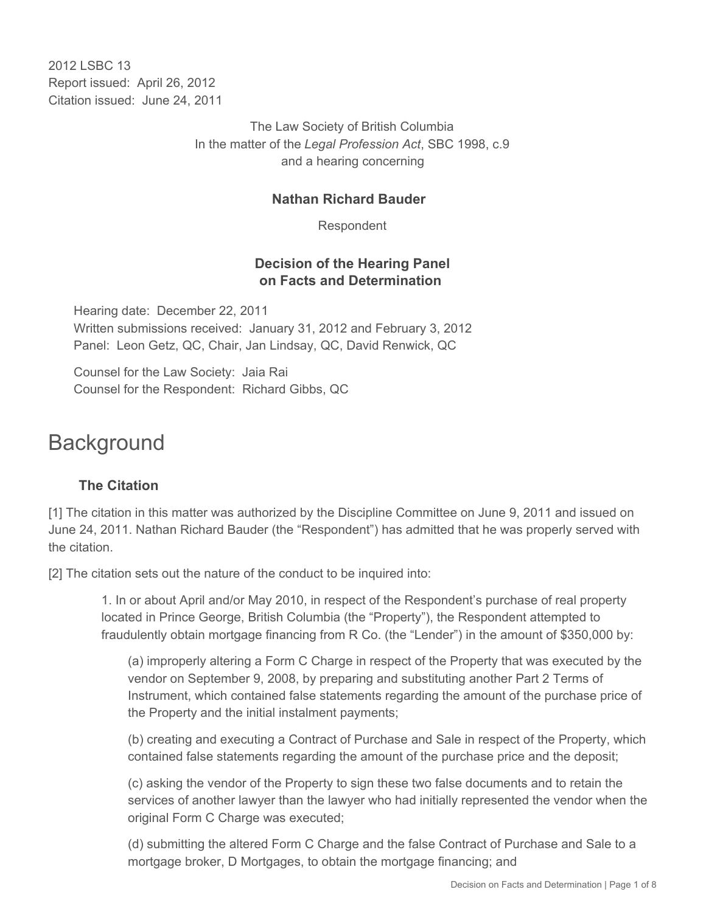2012 LSBC 13 Report issued: April 26, 2012 Citation issued: June 24, 2011

> The Law Society of British Columbia In the matter of the *Legal Profession Act*, SBC 1998, c.9 and a hearing concerning

#### **Nathan Richard Bauder**

Respondent

#### **Decision of the Hearing Panel on Facts and Determination**

Hearing date: December 22, 2011 Written submissions received: January 31, 2012 and February 3, 2012 Panel: Leon Getz, QC, Chair, Jan Lindsay, QC, David Renwick, QC

Counsel for the Law Society: Jaia Rai Counsel for the Respondent: Richard Gibbs, QC

# **Background**

## **The Citation**

[1] The citation in this matter was authorized by the Discipline Committee on June 9, 2011 and issued on June 24, 2011. Nathan Richard Bauder (the "Respondent") has admitted that he was properly served with the citation.

[2] The citation sets out the nature of the conduct to be inquired into:

1. In or about April and/or May 2010, in respect of the Respondent's purchase of real property located in Prince George, British Columbia (the "Property"), the Respondent attempted to fraudulently obtain mortgage financing from R Co. (the "Lender") in the amount of \$350,000 by:

(a) improperly altering a Form C Charge in respect of the Property that was executed by the vendor on September 9, 2008, by preparing and substituting another Part 2 Terms of Instrument, which contained false statements regarding the amount of the purchase price of the Property and the initial instalment payments;

(b) creating and executing a Contract of Purchase and Sale in respect of the Property, which contained false statements regarding the amount of the purchase price and the deposit;

(c) asking the vendor of the Property to sign these two false documents and to retain the services of another lawyer than the lawyer who had initially represented the vendor when the original Form C Charge was executed;

(d) submitting the altered Form C Charge and the false Contract of Purchase and Sale to a mortgage broker, D Mortgages, to obtain the mortgage financing; and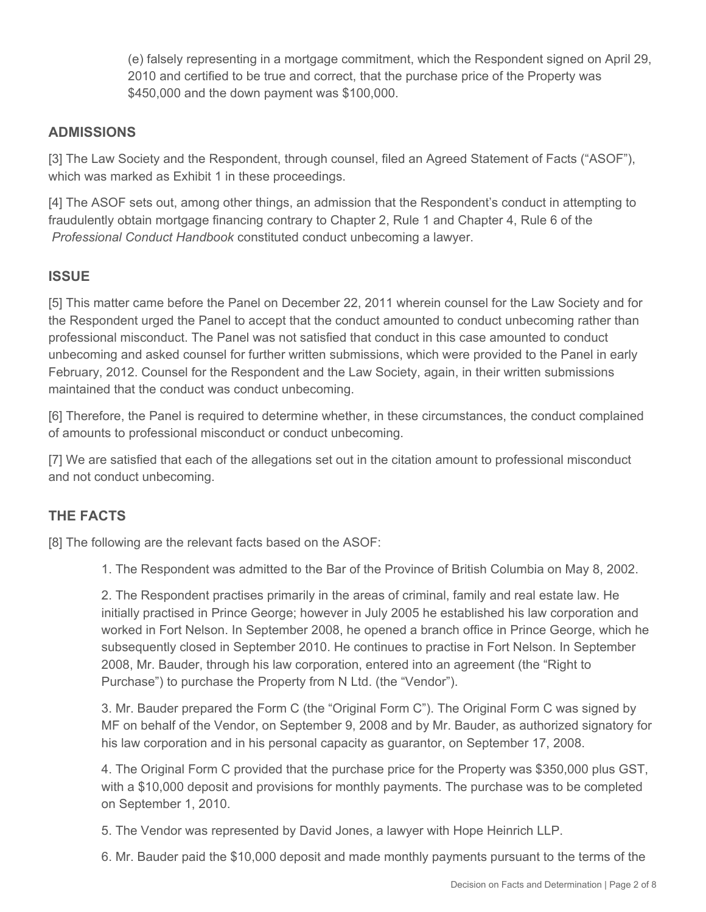(e) falsely representing in a mortgage commitment, which the Respondent signed on April 29, 2010 and certified to be true and correct, that the purchase price of the Property was \$450,000 and the down payment was \$100,000.

## **ADMISSIONS**

[3] The Law Society and the Respondent, through counsel, filed an Agreed Statement of Facts ("ASOF"), which was marked as Exhibit 1 in these proceedings.

[4] The ASOF sets out, among other things, an admission that the Respondent's conduct in attempting to fraudulently obtain mortgage financing contrary to Chapter 2, Rule 1 and Chapter 4, Rule 6 of the *Professional Conduct Handbook* constituted conduct unbecoming a lawyer.

#### **ISSUE**

[5] This matter came before the Panel on December 22, 2011 wherein counsel for the Law Society and for the Respondent urged the Panel to accept that the conduct amounted to conduct unbecoming rather than professional misconduct. The Panel was not satisfied that conduct in this case amounted to conduct unbecoming and asked counsel for further written submissions, which were provided to the Panel in early February, 2012. Counsel for the Respondent and the Law Society, again, in their written submissions maintained that the conduct was conduct unbecoming.

[6] Therefore, the Panel is required to determine whether, in these circumstances, the conduct complained of amounts to professional misconduct or conduct unbecoming.

[7] We are satisfied that each of the allegations set out in the citation amount to professional misconduct and not conduct unbecoming.

## **THE FACTS**

[8] The following are the relevant facts based on the ASOF:

1. The Respondent was admitted to the Bar of the Province of British Columbia on May 8, 2002.

2. The Respondent practises primarily in the areas of criminal, family and real estate law. He initially practised in Prince George; however in July 2005 he established his law corporation and worked in Fort Nelson. In September 2008, he opened a branch office in Prince George, which he subsequently closed in September 2010. He continues to practise in Fort Nelson. In September 2008, Mr. Bauder, through his law corporation, entered into an agreement (the "Right to Purchase") to purchase the Property from N Ltd. (the "Vendor").

3. Mr. Bauder prepared the Form C (the "Original Form C"). The Original Form C was signed by MF on behalf of the Vendor, on September 9, 2008 and by Mr. Bauder, as authorized signatory for his law corporation and in his personal capacity as guarantor, on September 17, 2008.

4. The Original Form C provided that the purchase price for the Property was \$350,000 plus GST, with a \$10,000 deposit and provisions for monthly payments. The purchase was to be completed on September 1, 2010.

5. The Vendor was represented by David Jones, a lawyer with Hope Heinrich LLP.

6. Mr. Bauder paid the \$10,000 deposit and made monthly payments pursuant to the terms of the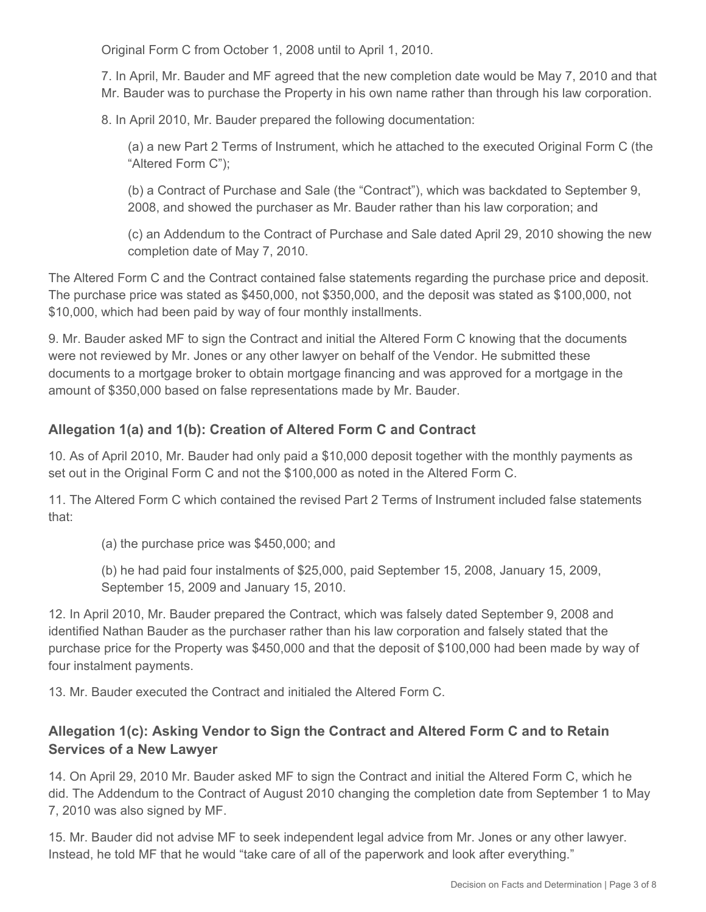Original Form C from October 1, 2008 until to April 1, 2010.

7. In April, Mr. Bauder and MF agreed that the new completion date would be May 7, 2010 and that Mr. Bauder was to purchase the Property in his own name rather than through his law corporation.

8. In April 2010, Mr. Bauder prepared the following documentation:

(a) a new Part 2 Terms of Instrument, which he attached to the executed Original Form C (the "Altered Form C");

(b) a Contract of Purchase and Sale (the "Contract"), which was backdated to September 9, 2008, and showed the purchaser as Mr. Bauder rather than his law corporation; and

(c) an Addendum to the Contract of Purchase and Sale dated April 29, 2010 showing the new completion date of May 7, 2010.

The Altered Form C and the Contract contained false statements regarding the purchase price and deposit. The purchase price was stated as \$450,000, not \$350,000, and the deposit was stated as \$100,000, not \$10,000, which had been paid by way of four monthly installments.

9. Mr. Bauder asked MF to sign the Contract and initial the Altered Form C knowing that the documents were not reviewed by Mr. Jones or any other lawyer on behalf of the Vendor. He submitted these documents to a mortgage broker to obtain mortgage financing and was approved for a mortgage in the amount of \$350,000 based on false representations made by Mr. Bauder.

## **Allegation 1(a) and 1(b): Creation of Altered Form C and Contract**

10. As of April 2010, Mr. Bauder had only paid a \$10,000 deposit together with the monthly payments as set out in the Original Form C and not the \$100,000 as noted in the Altered Form C.

11. The Altered Form C which contained the revised Part 2 Terms of Instrument included false statements that:

(a) the purchase price was \$450,000; and

(b) he had paid four instalments of \$25,000, paid September 15, 2008, January 15, 2009, September 15, 2009 and January 15, 2010.

12. In April 2010, Mr. Bauder prepared the Contract, which was falsely dated September 9, 2008 and identified Nathan Bauder as the purchaser rather than his law corporation and falsely stated that the purchase price for the Property was \$450,000 and that the deposit of \$100,000 had been made by way of four instalment payments.

13. Mr. Bauder executed the Contract and initialed the Altered Form C.

## **Allegation 1(c): Asking Vendor to Sign the Contract and Altered Form C and to Retain Services of a New Lawyer**

14. On April 29, 2010 Mr. Bauder asked MF to sign the Contract and initial the Altered Form C, which he did. The Addendum to the Contract of August 2010 changing the completion date from September 1 to May 7, 2010 was also signed by MF.

15. Mr. Bauder did not advise MF to seek independent legal advice from Mr. Jones or any other lawyer. Instead, he told MF that he would "take care of all of the paperwork and look after everything."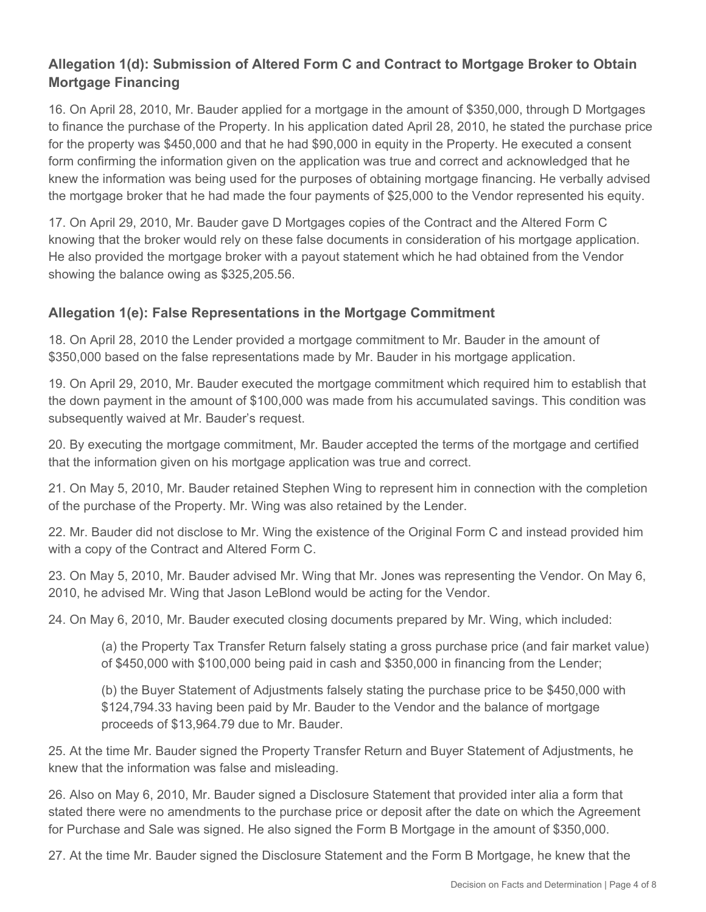# **Allegation 1(d): Submission of Altered Form C and Contract to Mortgage Broker to Obtain Mortgage Financing**

16. On April 28, 2010, Mr. Bauder applied for a mortgage in the amount of \$350,000, through D Mortgages to finance the purchase of the Property. In his application dated April 28, 2010, he stated the purchase price for the property was \$450,000 and that he had \$90,000 in equity in the Property. He executed a consent form confirming the information given on the application was true and correct and acknowledged that he knew the information was being used for the purposes of obtaining mortgage financing. He verbally advised the mortgage broker that he had made the four payments of \$25,000 to the Vendor represented his equity.

17. On April 29, 2010, Mr. Bauder gave D Mortgages copies of the Contract and the Altered Form C knowing that the broker would rely on these false documents in consideration of his mortgage application. He also provided the mortgage broker with a payout statement which he had obtained from the Vendor showing the balance owing as \$325,205.56.

## **Allegation 1(e): False Representations in the Mortgage Commitment**

18. On April 28, 2010 the Lender provided a mortgage commitment to Mr. Bauder in the amount of \$350,000 based on the false representations made by Mr. Bauder in his mortgage application.

19. On April 29, 2010, Mr. Bauder executed the mortgage commitment which required him to establish that the down payment in the amount of \$100,000 was made from his accumulated savings. This condition was subsequently waived at Mr. Bauder's request.

20. By executing the mortgage commitment, Mr. Bauder accepted the terms of the mortgage and certified that the information given on his mortgage application was true and correct.

21. On May 5, 2010, Mr. Bauder retained Stephen Wing to represent him in connection with the completion of the purchase of the Property. Mr. Wing was also retained by the Lender.

22. Mr. Bauder did not disclose to Mr. Wing the existence of the Original Form C and instead provided him with a copy of the Contract and Altered Form C.

23. On May 5, 2010, Mr. Bauder advised Mr. Wing that Mr. Jones was representing the Vendor. On May 6, 2010, he advised Mr. Wing that Jason LeBlond would be acting for the Vendor.

24. On May 6, 2010, Mr. Bauder executed closing documents prepared by Mr. Wing, which included:

(a) the Property Tax Transfer Return falsely stating a gross purchase price (and fair market value) of \$450,000 with \$100,000 being paid in cash and \$350,000 in financing from the Lender;

(b) the Buyer Statement of Adjustments falsely stating the purchase price to be \$450,000 with \$124,794.33 having been paid by Mr. Bauder to the Vendor and the balance of mortgage proceeds of \$13,964.79 due to Mr. Bauder.

25. At the time Mr. Bauder signed the Property Transfer Return and Buyer Statement of Adjustments, he knew that the information was false and misleading.

26. Also on May 6, 2010, Mr. Bauder signed a Disclosure Statement that provided inter alia a form that stated there were no amendments to the purchase price or deposit after the date on which the Agreement for Purchase and Sale was signed. He also signed the Form B Mortgage in the amount of \$350,000.

27. At the time Mr. Bauder signed the Disclosure Statement and the Form B Mortgage, he knew that the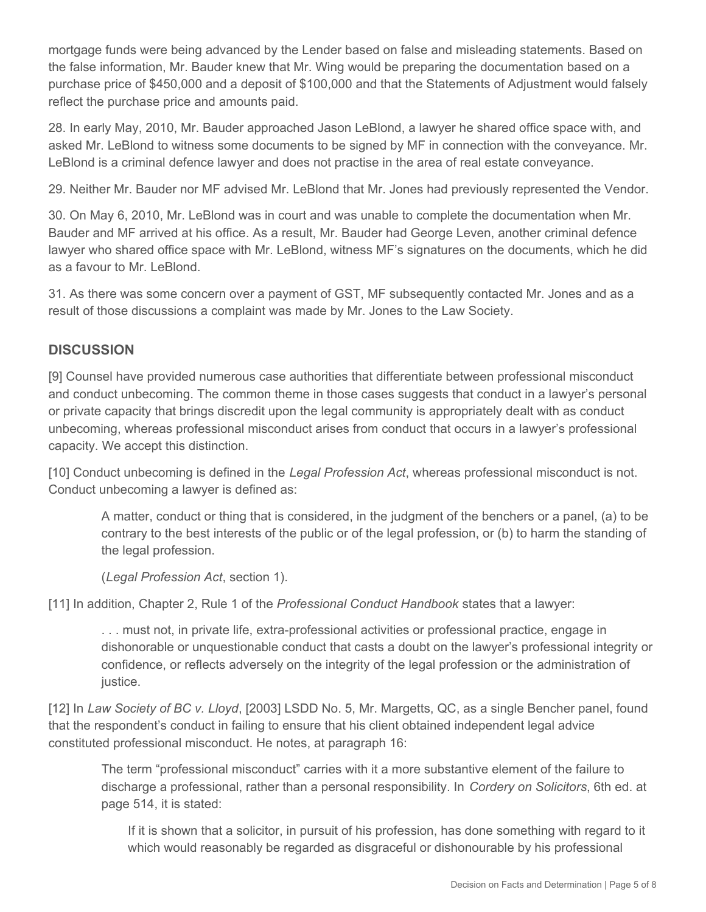mortgage funds were being advanced by the Lender based on false and misleading statements. Based on the false information, Mr. Bauder knew that Mr. Wing would be preparing the documentation based on a purchase price of \$450,000 and a deposit of \$100,000 and that the Statements of Adjustment would falsely reflect the purchase price and amounts paid.

28. In early May, 2010, Mr. Bauder approached Jason LeBlond, a lawyer he shared office space with, and asked Mr. LeBlond to witness some documents to be signed by MF in connection with the conveyance. Mr. LeBlond is a criminal defence lawyer and does not practise in the area of real estate conveyance.

29. Neither Mr. Bauder nor MF advised Mr. LeBlond that Mr. Jones had previously represented the Vendor.

30. On May 6, 2010, Mr. LeBlond was in court and was unable to complete the documentation when Mr. Bauder and MF arrived at his office. As a result, Mr. Bauder had George Leven, another criminal defence lawyer who shared office space with Mr. LeBlond, witness MF's signatures on the documents, which he did as a favour to Mr. LeBlond.

31. As there was some concern over a payment of GST, MF subsequently contacted Mr. Jones and as a result of those discussions a complaint was made by Mr. Jones to the Law Society.

## **DISCUSSION**

[9] Counsel have provided numerous case authorities that differentiate between professional misconduct and conduct unbecoming. The common theme in those cases suggests that conduct in a lawyer's personal or private capacity that brings discredit upon the legal community is appropriately dealt with as conduct unbecoming, whereas professional misconduct arises from conduct that occurs in a lawyer's professional capacity. We accept this distinction.

[10] Conduct unbecoming is defined in the *Legal Profession Act*, whereas professional misconduct is not. Conduct unbecoming a lawyer is defined as:

A matter, conduct or thing that is considered, in the judgment of the benchers or a panel, (a) to be contrary to the best interests of the public or of the legal profession, or (b) to harm the standing of the legal profession.

(*Legal Profession Act*, section 1).

[11] In addition, Chapter 2, Rule 1 of the *Professional Conduct Handbook* states that a lawyer:

. . . must not, in private life, extra-professional activities or professional practice, engage in dishonorable or unquestionable conduct that casts a doubt on the lawyer's professional integrity or confidence, or reflects adversely on the integrity of the legal profession or the administration of justice.

[12] In *Law Society of BC v. Lloyd*, [2003] LSDD No. 5, Mr. Margetts, QC, as a single Bencher panel, found that the respondent's conduct in failing to ensure that his client obtained independent legal advice constituted professional misconduct. He notes, at paragraph 16:

The term "professional misconduct" carries with it a more substantive element of the failure to discharge a professional, rather than a personal responsibility. In *Cordery on Solicitors*, 6th ed. at page 514, it is stated:

If it is shown that a solicitor, in pursuit of his profession, has done something with regard to it which would reasonably be regarded as disgraceful or dishonourable by his professional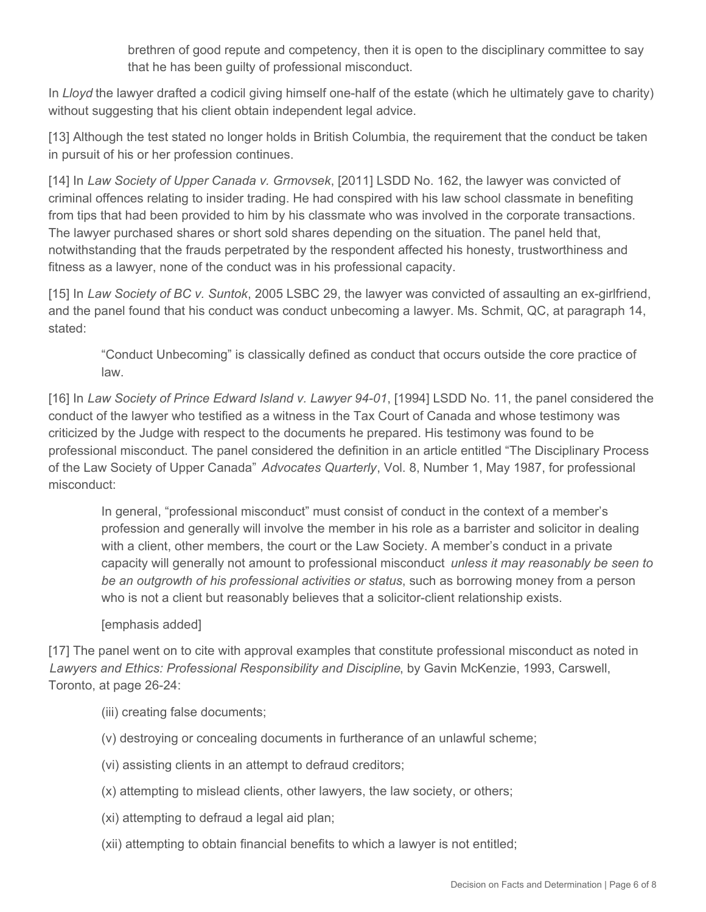brethren of good repute and competency, then it is open to the disciplinary committee to say that he has been guilty of professional misconduct.

In *Lloyd* the lawyer drafted a codicil giving himself one-half of the estate (which he ultimately gave to charity) without suggesting that his client obtain independent legal advice.

[13] Although the test stated no longer holds in British Columbia, the requirement that the conduct be taken in pursuit of his or her profession continues.

[14] In *Law Society of Upper Canada v. Grmovsek*, [2011] LSDD No. 162, the lawyer was convicted of criminal offences relating to insider trading. He had conspired with his law school classmate in benefiting from tips that had been provided to him by his classmate who was involved in the corporate transactions. The lawyer purchased shares or short sold shares depending on the situation. The panel held that, notwithstanding that the frauds perpetrated by the respondent affected his honesty, trustworthiness and fitness as a lawyer, none of the conduct was in his professional capacity.

[15] In *Law Society of BC v. Suntok*, 2005 LSBC 29, the lawyer was convicted of assaulting an ex-girlfriend, and the panel found that his conduct was conduct unbecoming a lawyer. Ms. Schmit, QC, at paragraph 14, stated:

"Conduct Unbecoming" is classically defined as conduct that occurs outside the core practice of law.

[16] In *Law Society of Prince Edward Island v. Lawyer 94-01*, [1994] LSDD No. 11, the panel considered the conduct of the lawyer who testified as a witness in the Tax Court of Canada and whose testimony was criticized by the Judge with respect to the documents he prepared. His testimony was found to be professional misconduct. The panel considered the definition in an article entitled "The Disciplinary Process of the Law Society of Upper Canada" *Advocates Quarterly*, Vol. 8, Number 1, May 1987, for professional misconduct:

In general, "professional misconduct" must consist of conduct in the context of a member's profession and generally will involve the member in his role as a barrister and solicitor in dealing with a client, other members, the court or the Law Society. A member's conduct in a private capacity will generally not amount to professional misconduct *unless it may reasonably be seen to be an outgrowth of his professional activities or status*, such as borrowing money from a person who is not a client but reasonably believes that a solicitor-client relationship exists.

#### [emphasis added]

[17] The panel went on to cite with approval examples that constitute professional misconduct as noted in *Lawyers and Ethics: Professional Responsibility and Discipline*, by Gavin McKenzie, 1993, Carswell, Toronto, at page 26-24:

- (iii) creating false documents;
- (v) destroying or concealing documents in furtherance of an unlawful scheme;
- (vi) assisting clients in an attempt to defraud creditors;
- (x) attempting to mislead clients, other lawyers, the law society, or others;
- (xi) attempting to defraud a legal aid plan;
- (xii) attempting to obtain financial benefits to which a lawyer is not entitled;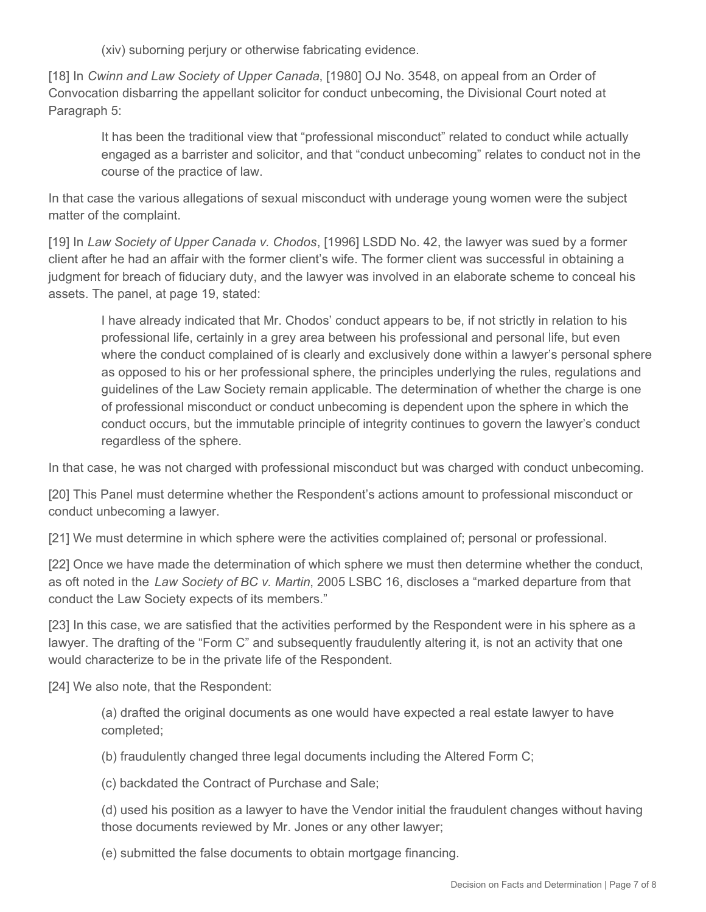(xiv) suborning perjury or otherwise fabricating evidence.

[18] In *Cwinn and Law Society of Upper Canada*, [1980] OJ No. 3548, on appeal from an Order of Convocation disbarring the appellant solicitor for conduct unbecoming, the Divisional Court noted at Paragraph 5:

It has been the traditional view that "professional misconduct" related to conduct while actually engaged as a barrister and solicitor, and that "conduct unbecoming" relates to conduct not in the course of the practice of law.

In that case the various allegations of sexual misconduct with underage young women were the subject matter of the complaint.

[19] In *Law Society of Upper Canada v. Chodos*, [1996] LSDD No. 42, the lawyer was sued by a former client after he had an affair with the former client's wife. The former client was successful in obtaining a judgment for breach of fiduciary duty, and the lawyer was involved in an elaborate scheme to conceal his assets. The panel, at page 19, stated:

I have already indicated that Mr. Chodos' conduct appears to be, if not strictly in relation to his professional life, certainly in a grey area between his professional and personal life, but even where the conduct complained of is clearly and exclusively done within a lawyer's personal sphere as opposed to his or her professional sphere, the principles underlying the rules, regulations and guidelines of the Law Society remain applicable. The determination of whether the charge is one of professional misconduct or conduct unbecoming is dependent upon the sphere in which the conduct occurs, but the immutable principle of integrity continues to govern the lawyer's conduct regardless of the sphere.

In that case, he was not charged with professional misconduct but was charged with conduct unbecoming.

[20] This Panel must determine whether the Respondent's actions amount to professional misconduct or conduct unbecoming a lawyer.

[21] We must determine in which sphere were the activities complained of; personal or professional.

[22] Once we have made the determination of which sphere we must then determine whether the conduct, as oft noted in the *Law Society of BC v. Martin*, 2005 LSBC 16, discloses a "marked departure from that conduct the Law Society expects of its members."

[23] In this case, we are satisfied that the activities performed by the Respondent were in his sphere as a lawyer. The drafting of the "Form C" and subsequently fraudulently altering it, is not an activity that one would characterize to be in the private life of the Respondent.

[24] We also note, that the Respondent:

(a) drafted the original documents as one would have expected a real estate lawyer to have completed;

(b) fraudulently changed three legal documents including the Altered Form C;

(c) backdated the Contract of Purchase and Sale;

(d) used his position as a lawyer to have the Vendor initial the fraudulent changes without having those documents reviewed by Mr. Jones or any other lawyer;

(e) submitted the false documents to obtain mortgage financing.